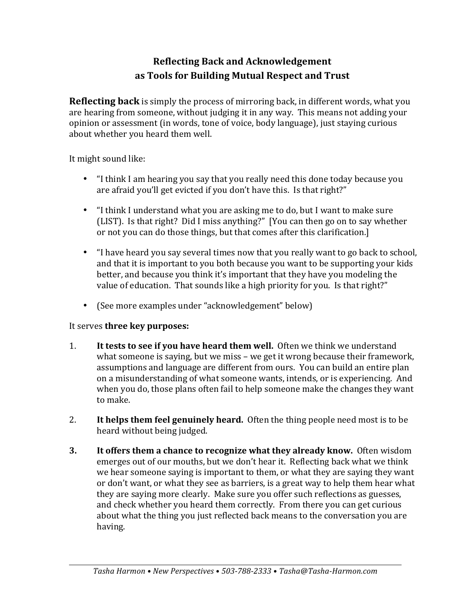## **Reflecting Back and Acknowledgement** as Tools for Building Mutual Respect and Trust

**Reflecting back** is simply the process of mirroring back, in different words, what you are hearing from someone, without judging it in any way. This means not adding your opinion or assessment (in words, tone of voice, body language), just staying curious about whether you heard them well.

It might sound like:

- "I think I am hearing you say that you really need this done today because you are afraid you'll get evicted if you don't have this. Is that right?"
- "I think I understand what you are asking me to do, but I want to make sure (LIST). Is that right? Did I miss anything?" [You can then go on to say whether or not you can do those things, but that comes after this clarification.]
- "I have heard you say several times now that you really want to go back to school, and that it is important to you both because you want to be supporting your kids better, and because you think it's important that they have you modeling the value of education. That sounds like a high priority for you. Is that right?"
- (See more examples under "acknowledgement" below)

## It serves **three key purposes:**

- 1. It **tests to see if you have heard them well.** Often we think we understand what someone is saying, but we miss – we get it wrong because their framework, assumptions and language are different from ours. You can build an entire plan on a misunderstanding of what someone wants, intends, or is experiencing. And when you do, those plans often fail to help someone make the changes they want to make.
- 2. It helps them feel genuinely heard. Often the thing people need most is to be heard without being judged.
- **3.** It offers them a chance to recognize what they already know. Often wisdom emerges out of our mouths, but we don't hear it. Reflecting back what we think we hear someone saying is important to them, or what they are saying they want or don't want, or what they see as barriers, is a great way to help them hear what they are saying more clearly. Make sure you offer such reflections as guesses, and check whether you heard them correctly. From there you can get curious about what the thing you just reflected back means to the conversation you are having.